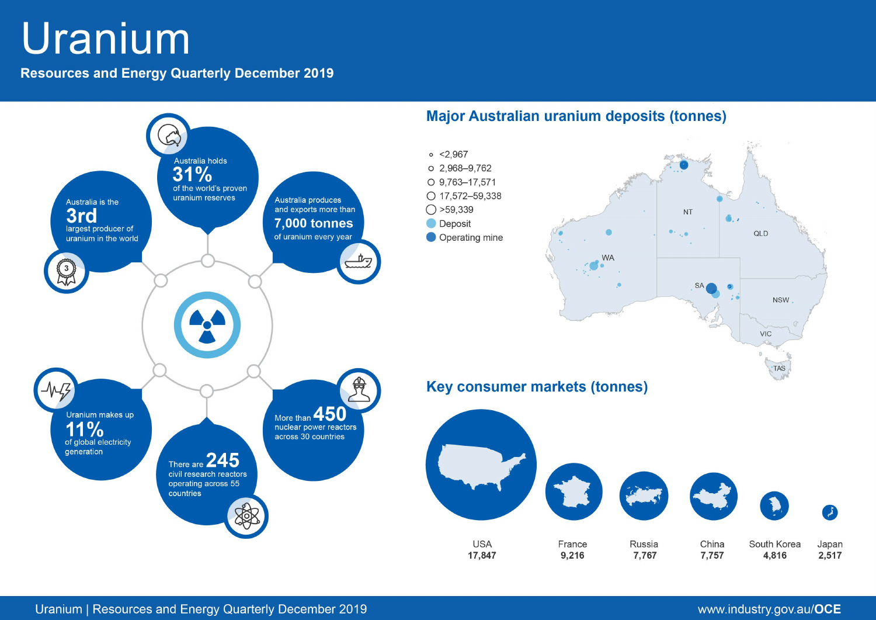# Uranium

**Resources and Energy Quarterly December 2019** 

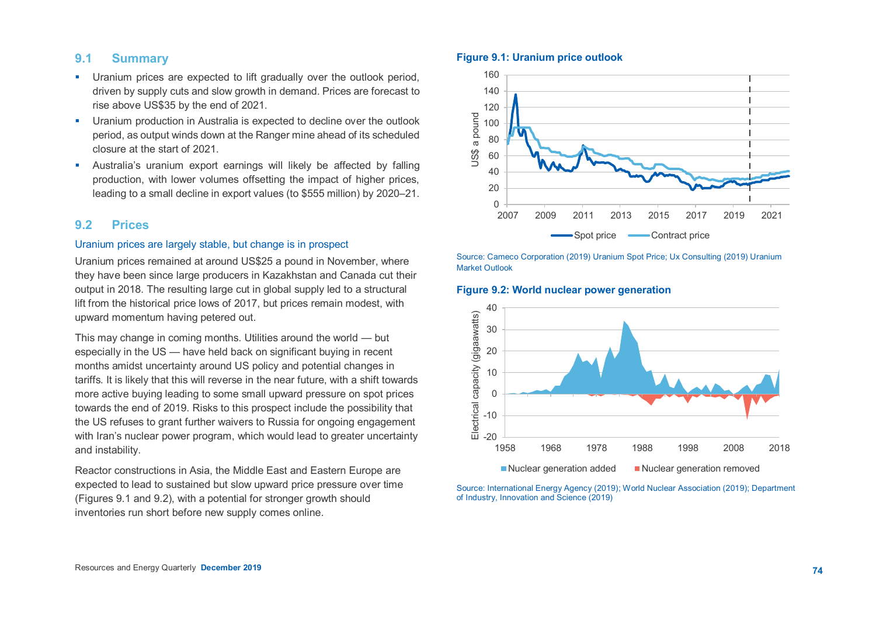# **9.1 Summary**

- **Uranium prices are expected to lift gradually over the outlook period.** driven by supply cuts and slow growth in demand. Prices are forecast to rise above US\$35 by the end of 2021.
- **Uranium production in Australia is expected to decline over the outlook** period, as output winds down at the Ranger mine ahead of its scheduled closure at the start of 2021.
- Australia's uranium export earnings will likely be affected by falling production, with lower volumes offsetting the impact of higher prices, leading to a small decline in export values (to \$555 million) by 2020–21.

# **9.2 Prices**

## Uranium prices are largely stable, but change is in prospect

Uranium prices remained at around US\$25 a pound in November, where they have been since large producers in Kazakhstan and Canada cut their output in 2018. The resulting large cut in global supply led to a structural lift from the historical price lows of 2017, but prices remain modest, with upward momentum having petered out.

This may change in coming months. Utilities around the world — but especially in the US — have held back on significant buying in recent months amidst uncertainty around US policy and potential changes in tariffs. It is likely that this will reverse in the near future, with a shift towards more active buying leading to some small upward pressure on spot prices towards the end of 2019. Risks to this prospect include the possibility that the US refuses to grant further waivers to Russia for ongoing engagement with Iran's nuclear power program, which would lead to greater uncertainty and instability.

Reactor constructions in Asia, the Middle East and Eastern Europe are expected to lead to sustained but slow upward price pressure over time (Figures 9.1 and 9.2), with a potential for stronger growth should inventories run short before new supply comes online.

#### **Figure 9.1: Uranium price outlook**



Source: Cameco Corporation (2019) Uranium Spot Price; Ux Consulting (2019) Uranium Market Outlook

#### **Figure 9.2: World nuclear power generation**



Source: International Energy Agency (2019); World Nuclear Association (2019); Department of Industry, Innovation and Science (2019)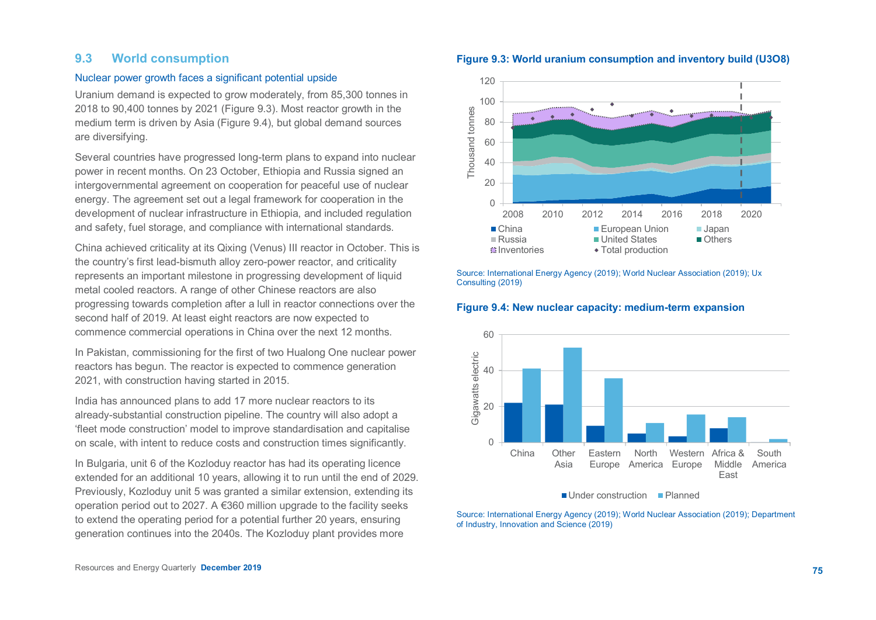# **9.3 World consumption**

#### Nuclear power growth faces a significant potential upside

Uranium demand is expected to grow moderately, from 85,300 tonnes in 2018 to 90,400 tonnes by 2021 (Figure 9.3). Most reactor growth in the medium term is driven by Asia (Figure 9.4), but global demand sources are diversifying.

Several countries have progressed long-term plans to expand into nuclear power in recent months. On 23 October, Ethiopia and Russia signed an intergovernmental agreement on cooperation for peaceful use of nuclear energy. The agreement set out a legal framework for cooperation in the development of nuclear infrastructure in Ethiopia, and included regulation and safety, fuel storage, and compliance with international standards.

China achieved criticality at its Qixing (Venus) III reactor in October. This is the country's first lead-bismuth alloy zero-power reactor, and criticality represents an important milestone in progressing development of liquid metal cooled reactors. A range of other Chinese reactors are also progressing towards completion after a lull in reactor connections over the second half of 2019. At least eight reactors are now expected to commence commercial operations in China over the next 12 months.

In Pakistan, commissioning for the first of two Hualong One nuclear power reactors has begun. The reactor is expected to commence generation 2021, with construction having started in 2015.

India has announced plans to add 17 more nuclear reactors to its already-substantial construction pipeline. The country will also adopt a 'fleet mode construction' model to improve standardisation and capitalise on scale, with intent to reduce costs and construction times significantly.

In Bulgaria, unit 6 of the Kozloduy reactor has had its operating licence extended for an additional 10 years, allowing it to run until the end of 2029. Previously, Kozloduy unit 5 was granted a similar extension, extending its operation period out to 2027. A €360 million upgrade to the facility seeks to extend the operating period for a potential further 20 years, ensuring generation continues into the 2040s. The Kozloduy plant provides more

#### **Figure 9.3: World uranium consumption and inventory build (U3O8)**



Source: International Energy Agency (2019); World Nuclear Association (2019); Ux Consulting (2019)

#### **Figure 9.4: New nuclear capacity: medium-term expansion**



■ Under construction Planned

Source: International Energy Agency (2019); World Nuclear Association (2019); Department of Industry, Innovation and Science (2019)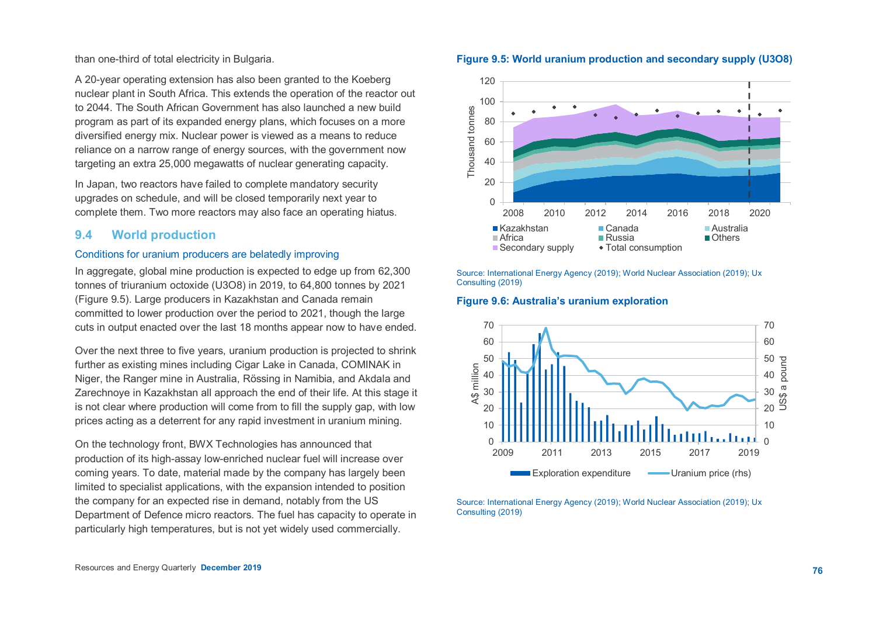than one-third of total electricity in Bulgaria.

A 20-year operating extension has also been granted to the Koeberg nuclear plant in South Africa. This extends the operation of the reactor out to 2044. The South African Government has also launched a new build program as part of its expanded energy plans, which focuses on a more diversified energy mix. Nuclear power is viewed as a means to reduce reliance on a narrow range of energy sources, with the government now targeting an extra 25,000 megawatts of nuclear generating capacity.

In Japan, two reactors have failed to complete mandatory security upgrades on schedule, and will be closed temporarily next year to complete them. Two more reactors may also face an operating hiatus.

# **9.4 World production**

## Conditions for uranium producers are belatedly improving

In aggregate, global mine production is expected to edge up from 62,300 tonnes of triuranium octoxide (U3O8) in 2019, to 64,800 tonnes by 2021 (Figure 9.5). Large producers in Kazakhstan and Canada remain committed to lower production over the period to 2021, though the large cuts in output enacted over the last 18 months appear now to have ended.

Over the next three to five years, uranium production is projected to shrink further as existing mines including Cigar Lake in Canada, COMINAK in Niger, the Ranger mine in Australia, Rössing in Namibia, and Akdala and Zarechnoye in Kazakhstan all approach the end of their life. At this stage it is not clear where production will come from to fill the supply gap, with low prices acting as a deterrent for any rapid investment in uranium mining.

On the technology front, BWX Technologies has announced that production of its high-assay low-enriched nuclear fuel will increase over coming years. To date, material made by the company has largely been limited to specialist applications, with the expansion intended to position the company for an expected rise in demand, notably from the US Department of Defence micro reactors. The fuel has capacity to operate in particularly high temperatures, but is not yet widely used commercially.

Source: International Energy Agency (2019); World Nuclear Association (2019); Ux Consulting (2019)

### **Figure 9.6: Australia's uranium exploration**



Source: International Energy Agency (2019); World Nuclear Association (2019); Ux Consulting (2019)



## **Figure 9.5: World uranium production and secondary supply (U3O8)**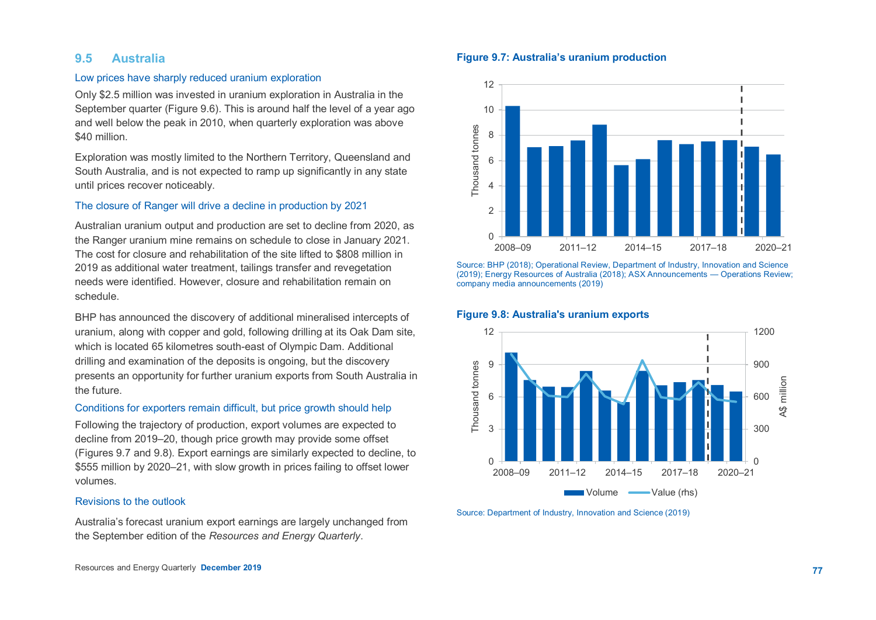## **9.5 Australia**

#### Low prices have sharply reduced uranium exploration

Only \$2.5 million was invested in uranium exploration in Australia in the September quarter (Figure 9.6). This is around half the level of a year ago and well below the peak in 2010, when quarterly exploration was above \$40 million.

Exploration was mostly limited to the Northern Territory, Queensland and South Australia, and is not expected to ramp up significantly in any state until prices recover noticeably.

## The closure of Ranger will drive a decline in production by 2021

Australian uranium output and production are set to decline from 2020, as the Ranger uranium mine remains on schedule to close in January 2021. The cost for closure and rehabilitation of the site lifted to \$808 million in 2019 as additional water treatment, tailings transfer and revegetation needs were identified. However, closure and rehabilitation remain on schedule.

BHP has announced the discovery of additional mineralised intercepts of uranium, along with copper and gold, following drilling at its Oak Dam site, which is located 65 kilometres south-east of Olympic Dam. Additional drilling and examination of the deposits is ongoing, but the discovery presents an opportunity for further uranium exports from South Australia in the future.

#### Conditions for exporters remain difficult, but price growth should help

Following the trajectory of production, export volumes are expected to decline from 2019–20, though price growth may provide some offset (Figures 9.7 and 9.8). Export earnings are similarly expected to decline, to \$555 million by 2020–21, with slow growth in prices failing to offset lower volumes.

## Revisions to the outlook

Australia's forecast uranium export earnings are largely unchanged from the September edition of the *Resources and Energy Quarterly*.

## **Figure 9.7: Australia's uranium production**



Source: BHP (2018); Operational Review, Department of Industry, Innovation and Science (2019); Energy Resources of Australia (2018); ASX Announcements — Operations Review; company media announcements (2019)

#### **Figure 9.8: Australia's uranium exports**



Source: Department of Industry, Innovation and Science (2019)